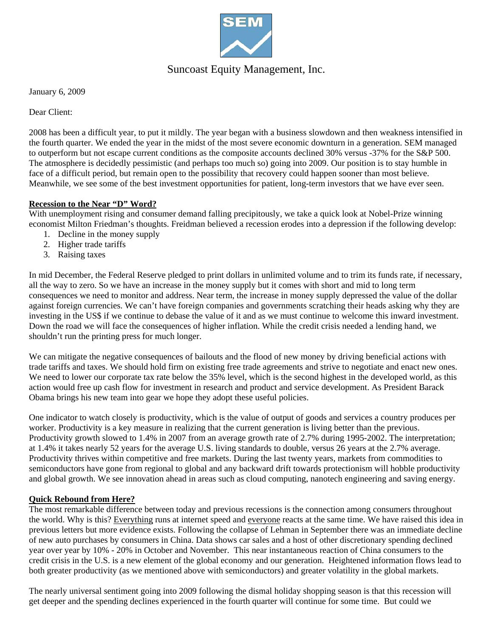

# Suncoast Equity Management, Inc.

January 6, 2009

Dear Client:

2008 has been a difficult year, to put it mildly. The year began with a business slowdown and then weakness intensified in the fourth quarter. We ended the year in the midst of the most severe economic downturn in a generation. SEM managed to outperform but not escape current conditions as the composite accounts declined 30% versus -37% for the S&P 500. The atmosphere is decidedly pessimistic (and perhaps too much so) going into 2009. Our position is to stay humble in face of a difficult period, but remain open to the possibility that recovery could happen sooner than most believe. Meanwhile, we see some of the best investment opportunities for patient, long-term investors that we have ever seen.

# **Recession to the Near "D" Word?**

With unemployment rising and consumer demand falling precipitously, we take a quick look at Nobel-Prize winning economist Milton Friedman's thoughts. Freidman believed a recession erodes into a depression if the following develop:

- 1. Decline in the money supply
- 2. Higher trade tariffs
- 3. Raising taxes

In mid December, the Federal Reserve pledged to print dollars in unlimited volume and to trim its funds rate, if necessary, all the way to zero. So we have an increase in the money supply but it comes with short and mid to long term consequences we need to monitor and address. Near term, the increase in money supply depressed the value of the dollar against foreign currencies. We can't have foreign companies and governments scratching their heads asking why they are investing in the US\$ if we continue to debase the value of it and as we must continue to welcome this inward investment. Down the road we will face the consequences of higher inflation. While the credit crisis needed a lending hand, we shouldn't run the printing press for much longer.

We can mitigate the negative consequences of bailouts and the flood of new money by driving beneficial actions with trade tariffs and taxes. We should hold firm on existing free trade agreements and strive to negotiate and enact new ones. We need to lower our corporate tax rate below the 35% level, which is the second highest in the developed world, as this action would free up cash flow for investment in research and product and service development. As President Barack Obama brings his new team into gear we hope they adopt these useful policies.

One indicator to watch closely is productivity, which is the value of output of goods and services a country produces per worker. Productivity is a key measure in realizing that the current generation is living better than the previous. Productivity growth slowed to 1.4% in 2007 from an average growth rate of 2.7% during 1995-2002. The interpretation; at 1.4% it takes nearly 52 years for the average U.S. living standards to double, versus 26 years at the 2.7% average. Productivity thrives within competitive and free markets. During the last twenty years, markets from commodities to semiconductors have gone from regional to global and any backward drift towards protectionism will hobble productivity and global growth. We see innovation ahead in areas such as cloud computing, nanotech engineering and saving energy.

# **Quick Rebound from Here?**

The most remarkable difference between today and previous recessions is the connection among consumers throughout the world. Why is this? Everything runs at internet speed and everyone reacts at the same time. We have raised this idea in previous letters but more evidence exists. Following the collapse of Lehman in September there was an immediate decline of new auto purchases by consumers in China. Data shows car sales and a host of other discretionary spending declined year over year by 10% - 20% in October and November. This near instantaneous reaction of China consumers to the credit crisis in the U.S. is a new element of the global economy and our generation. Heightened information flows lead to both greater productivity (as we mentioned above with semiconductors) and greater volatility in the global markets.

The nearly universal sentiment going into 2009 following the dismal holiday shopping season is that this recession will get deeper and the spending declines experienced in the fourth quarter will continue for some time. But could we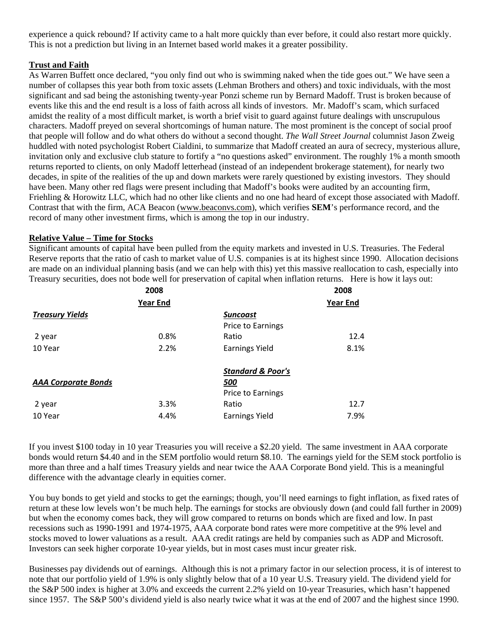experience a quick rebound? If activity came to a halt more quickly than ever before, it could also restart more quickly. This is not a prediction but living in an Internet based world makes it a greater possibility.

# **Trust and Faith**

As Warren Buffett once declared, "you only find out who is swimming naked when the tide goes out." We have seen a number of collapses this year both from toxic assets (Lehman Brothers and others) and toxic individuals, with the most significant and sad being the astonishing twenty-year Ponzi scheme run by Bernard Madoff. Trust is broken because of events like this and the end result is a loss of faith across all kinds of investors. Mr. Madoff's scam, which surfaced amidst the reality of a most difficult market, is worth a brief visit to guard against future dealings with unscrupulous characters. Madoff preyed on several shortcomings of human nature. The most prominent is the concept of social proof that people will follow and do what others do without a second thought. *The Wall Street Journal* columnist Jason Zweig huddled with noted psychologist Robert Cialdini, to summarize that Madoff created an aura of secrecy, mysterious allure, invitation only and exclusive club stature to fortify a "no questions asked" environment. The roughly 1% a month smooth returns reported to clients, on only Madoff letterhead (instead of an independent brokerage statement), for nearly two decades, in spite of the realities of the up and down markets were rarely questioned by existing investors. They should have been. Many other red flags were present including that Madoff's books were audited by an accounting firm, Friehling & Horowitz LLC, which had no other like clients and no one had heard of except those associated with Madoff. Contrast that with the firm, ACA Beacon (www.beaconvs.com), which verifies **SEM**'s performance record, and the record of many other investment firms, which is among the top in our industry.

# **Relative Value – Time for Stocks**

Significant amounts of capital have been pulled from the equity markets and invested in U.S. Treasuries. The Federal Reserve reports that the ratio of cash to market value of U.S. companies is at its highest since 1990. Allocation decisions are made on an individual planning basis (and we can help with this) yet this massive reallocation to cash, especially into Treasury securities, does not bode well for preservation of capital when inflation returns. Here is how it lays out:

|                            | 2008            |                              | 2008            |  |
|----------------------------|-----------------|------------------------------|-----------------|--|
|                            | <b>Year End</b> |                              | <b>Year End</b> |  |
| <b>Treasury Yields</b>     |                 | <b>Suncoast</b>              |                 |  |
|                            |                 | <b>Price to Earnings</b>     |                 |  |
| 2 year                     | 0.8%            | Ratio                        | 12.4            |  |
| 10 Year                    | 2.2%            | <b>Earnings Yield</b>        | 8.1%            |  |
|                            |                 | <b>Standard &amp; Poor's</b> |                 |  |
| <b>AAA Corporate Bonds</b> |                 | <u>500</u>                   |                 |  |
|                            |                 | Price to Earnings            |                 |  |
| 2 year                     | 3.3%            | Ratio                        | 12.7            |  |
| 10 Year                    | 4.4%            | <b>Earnings Yield</b>        | 7.9%            |  |

If you invest \$100 today in 10 year Treasuries you will receive a \$2.20 yield. The same investment in AAA corporate bonds would return \$4.40 and in the SEM portfolio would return \$8.10. The earnings yield for the SEM stock portfolio is more than three and a half times Treasury yields and near twice the AAA Corporate Bond yield. This is a meaningful difference with the advantage clearly in equities corner.

You buy bonds to get yield and stocks to get the earnings; though, you'll need earnings to fight inflation, as fixed rates of return at these low levels won't be much help. The earnings for stocks are obviously down (and could fall further in 2009) but when the economy comes back, they will grow compared to returns on bonds which are fixed and low. In past recessions such as 1990-1991 and 1974-1975, AAA corporate bond rates were more competitive at the 9% level and stocks moved to lower valuations as a result. AAA credit ratings are held by companies such as ADP and Microsoft. Investors can seek higher corporate 10-year yields, but in most cases must incur greater risk.

Businesses pay dividends out of earnings. Although this is not a primary factor in our selection process, it is of interest to note that our portfolio yield of 1.9% is only slightly below that of a 10 year U.S. Treasury yield. The dividend yield for the S&P 500 index is higher at 3.0% and exceeds the current 2.2% yield on 10-year Treasuries, which hasn't happened since 1957. The S&P 500's dividend yield is also nearly twice what it was at the end of 2007 and the highest since 1990.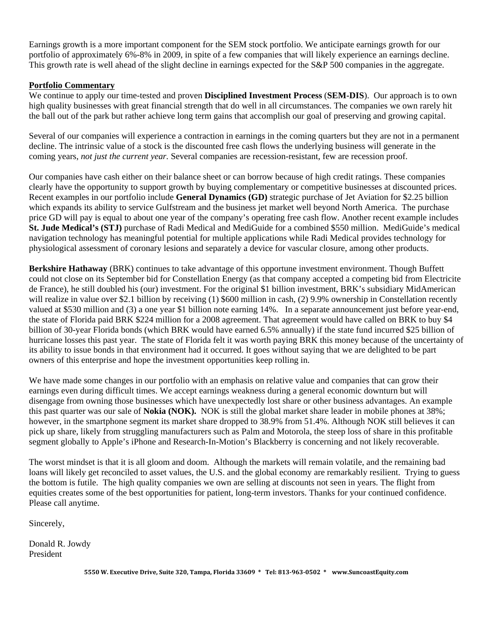Earnings growth is a more important component for the SEM stock portfolio. We anticipate earnings growth for our portfolio of approximately 6%-8% in 2009, in spite of a few companies that will likely experience an earnings decline. This growth rate is well ahead of the slight decline in earnings expected for the S&P 500 companies in the aggregate.

#### **Portfolio Commentary**

We continue to apply our time-tested and proven **Disciplined Investment Process** (**SEM-DIS**). Our approach is to own high quality businesses with great financial strength that do well in all circumstances. The companies we own rarely hit the ball out of the park but rather achieve long term gains that accomplish our goal of preserving and growing capital.

Several of our companies will experience a contraction in earnings in the coming quarters but they are not in a permanent decline. The intrinsic value of a stock is the discounted free cash flows the underlying business will generate in the coming years, *not just the current year.* Several companies are recession-resistant, few are recession proof.

Our companies have cash either on their balance sheet or can borrow because of high credit ratings. These companies clearly have the opportunity to support growth by buying complementary or competitive businesses at discounted prices. Recent examples in our portfolio include **General Dynamics (GD)** strategic purchase of Jet Aviation for \$2.25 billion which expands its ability to service Gulfstream and the business jet market well beyond North America. The purchase price GD will pay is equal to about one year of the company's operating free cash flow. Another recent example includes **St. Jude Medical's (STJ)** purchase of Radi Medical and MediGuide for a combined \$550 million. MediGuide's medical navigation technology has meaningful potential for multiple applications while Radi Medical provides technology for physiological assessment of coronary lesions and separately a device for vascular closure, among other products.

**Berkshire Hathaway** (BRK) continues to take advantage of this opportune investment environment. Though Buffett could not close on its September bid for Constellation Energy (as that company accepted a competing bid from Electricite de France), he still doubled his (our) investment. For the original \$1 billion investment, BRK's subsidiary MidAmerican will realize in value over \$2.1 billion by receiving (1) \$600 million in cash, (2) 9.9% ownership in Constellation recently valued at \$530 million and (3) a one year \$1 billion note earning 14%. In a separate announcement just before year-end, the state of Florida paid BRK \$224 million for a 2008 agreement. That agreement would have called on BRK to buy \$4 billion of 30-year Florida bonds (which BRK would have earned 6.5% annually) if the state fund incurred \$25 billion of hurricane losses this past year. The state of Florida felt it was worth paying BRK this money because of the uncertainty of its ability to issue bonds in that environment had it occurred. It goes without saying that we are delighted to be part owners of this enterprise and hope the investment opportunities keep rolling in.

We have made some changes in our portfolio with an emphasis on relative value and companies that can grow their earnings even during difficult times. We accept earnings weakness during a general economic downturn but will disengage from owning those businesses which have unexpectedly lost share or other business advantages. An example this past quarter was our sale of **Nokia (NOK).** NOK is still the global market share leader in mobile phones at 38%; however, in the smartphone segment its market share dropped to 38.9% from 51.4%. Although NOK still believes it can pick up share, likely from struggling manufacturers such as Palm and Motorola, the steep loss of share in this profitable segment globally to Apple's iPhone and Research-In-Motion's Blackberry is concerning and not likely recoverable.

The worst mindset is that it is all gloom and doom. Although the markets will remain volatile, and the remaining bad loans will likely get reconciled to asset values, the U.S. and the global economy are remarkably resilient. Trying to guess the bottom is futile. The high quality companies we own are selling at discounts not seen in years. The flight from equities creates some of the best opportunities for patient, long-term investors. Thanks for your continued confidence. Please call anytime.

Sincerely,

Donald R. Jowdy President